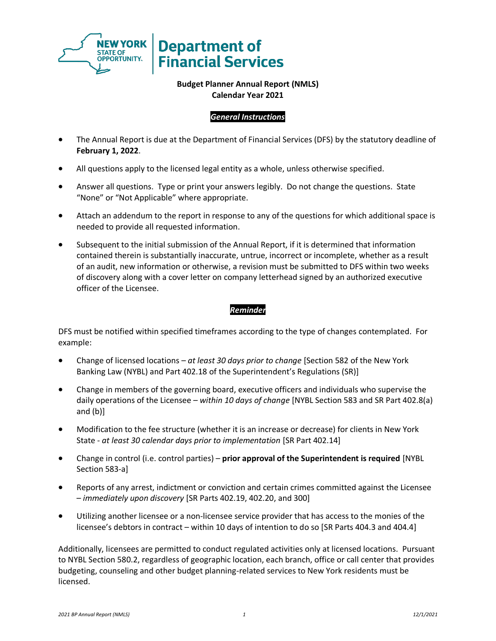

# **Department of Financial Services**

# **Budget Planner Annual Report (NMLS) Calendar Year 2021**

# *General Instructions*

- The Annual Report is due at the Department of Financial Services (DFS) by the statutory deadline of **February 1, 2022**.
- All questions apply to the licensed legal entity as a whole, unless otherwise specified.
- Answer all questions. Type or print your answers legibly. Do not change the questions. State "None" or "Not Applicable" where appropriate.
- Attach an addendum to the report in response to any of the questions for which additional space is needed to provide all requested information.
- Subsequent to the initial submission of the Annual Report, if it is determined that information contained therein is substantially inaccurate, untrue, incorrect or incomplete, whether as a result of an audit, new information or otherwise, a revision must be submitted to DFS within two weeks of discovery along with a cover letter on company letterhead signed by an authorized executive officer of the Licensee.

# *Reminder*

DFS must be notified within specified timeframes according to the type of changes contemplated. For example:

- Change of licensed locations *at least 30 days prior to change* [Section 582 of the New York Banking Law (NYBL) and Part 402.18 of the Superintendent's Regulations (SR)]
- Change in members of the governing board, executive officers and individuals who supervise the daily operations of the Licensee – *within 10 days of change* [NYBL Section 583 and SR Part 402.8(a) and (b)]
- Modification to the fee structure (whether it is an increase or decrease) for clients in New York State - *at least 30 calendar days prior to implementation* [SR Part 402.14]
- Change in control (i.e. control parties) **prior approval of the Superintendent is required** [NYBL Section 583-a]
- Reports of any arrest, indictment or conviction and certain crimes committed against the Licensee – *immediately upon discovery* [SR Parts 402.19, 402.20, and 300]
- Utilizing another licensee or a non-licensee service provider that has access to the monies of the licensee's debtors in contract – within 10 days of intention to do so [SR Parts 404.3 and 404.4]

Additionally, licensees are permitted to conduct regulated activities only at licensed locations. Pursuant to NYBL Section 580.2, regardless of geographic location, each branch, office or call center that provides budgeting, counseling and other budget planning-related services to New York residents must be licensed.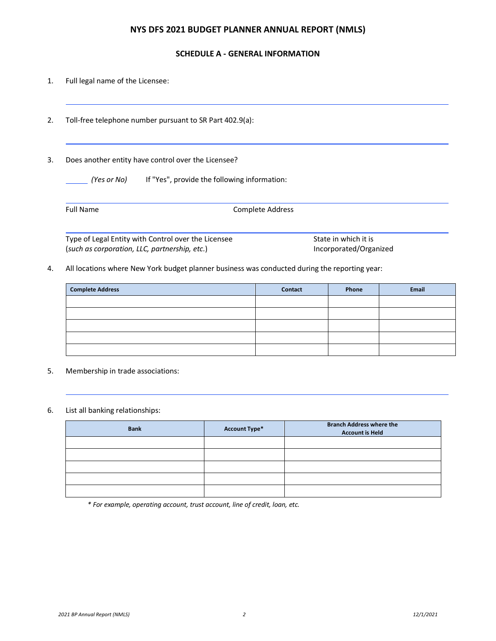### **NYS DFS 2021 BUDGET PLANNER ANNUAL REPORT (NMLS)**

#### **SCHEDULE A - GENERAL INFORMATION**

- 1. Full legal name of the Licensee:
- 2. Toll-free telephone number pursuant to SR Part 402.9(a):

#### 3. Does another entity have control over the Licensee?

| If "Yes", provide the following information:<br>(Yes or No) |
|-------------------------------------------------------------|
|-------------------------------------------------------------|

| <b>Full Name</b> |
|------------------|
|------------------|

Complete Address

Type of Legal Entity with Control over the Licensee State in which it is (*such as corporation, LLC, partnership, etc.*) Incorporated/Organized

4. All locations where New York budget planner business was conducted during the reporting year:

| <b>Complete Address</b> | <b>Contact</b> | Phone | Email |
|-------------------------|----------------|-------|-------|
|                         |                |       |       |
|                         |                |       |       |
|                         |                |       |       |
|                         |                |       |       |
|                         |                |       |       |

5. Membership in trade associations:

#### 6. List all banking relationships:

| <b>Bank</b> | <b>Account Type*</b> | <b>Branch Address where the</b><br><b>Account is Held</b> |
|-------------|----------------------|-----------------------------------------------------------|
|             |                      |                                                           |
|             |                      |                                                           |
|             |                      |                                                           |
|             |                      |                                                           |
|             |                      |                                                           |

*\* For example, operating account, trust account, line of credit, loan, etc.*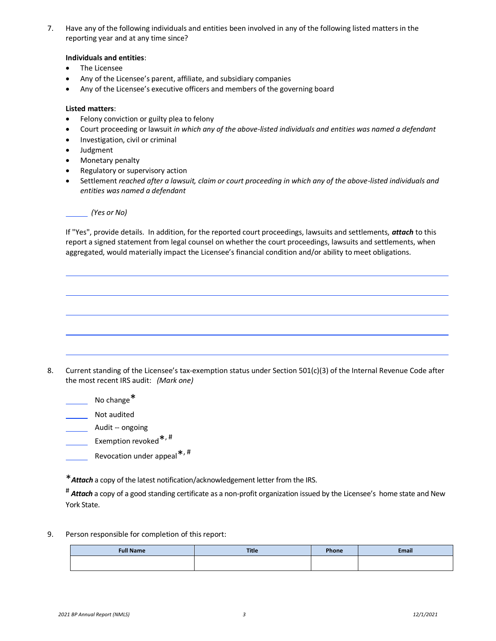7. Have any of the following individuals and entities been involved in any of the following listed matters in the reporting year and at any time since?

#### **Individuals and entities**:

- The Licensee
- Any of the Licensee's parent, affiliate, and subsidiary companies
- Any of the Licensee's executive officers and members of the governing board

#### **Listed matters**:

- Felony conviction or guilty plea to felony
- Court proceeding or lawsuit *in which any of the above-listed individuals and entities was named a defendant*
- Investigation, civil or criminal
- Judgment
- Monetary penalty
- Regulatory or supervisory action
- Settlement *reached after a lawsuit, claim or court proceeding in which any of the above-listed individuals and entities was named a defendant*

#### *(Yes or No)*

If "Yes", provide details. In addition, for the reported court proceedings, lawsuits and settlements, *attach* to this report a signed statement from legal counsel on whether the court proceedings, lawsuits and settlements, when aggregated, would materially impact the Licensee's financial condition and/or ability to meet obligations.

- 8. Current standing of the Licensee's tax-exemption status under Section 501(c)(3) of the Internal Revenue Code after the most recent IRS audit: *(Mark one)*
	- No change\*
	- Not audited
	- Audit -- ongoing
	- Exemption revoked <sup>\*, #</sup>
	- Revocation under appeal<sup>\*,#</sup>
	- \**Attach* a copy of the latest notification/acknowledgement letter from the IRS.

# *Attach* a copy of a good standing certificate as a non-profit organization issued by the Licensee's home state and New York State.

9. Person responsible for completion of this report:

| <b>Full Name</b> | <b>Title</b> | <b>Phone</b> | <b>Email</b> |
|------------------|--------------|--------------|--------------|
|                  |              |              |              |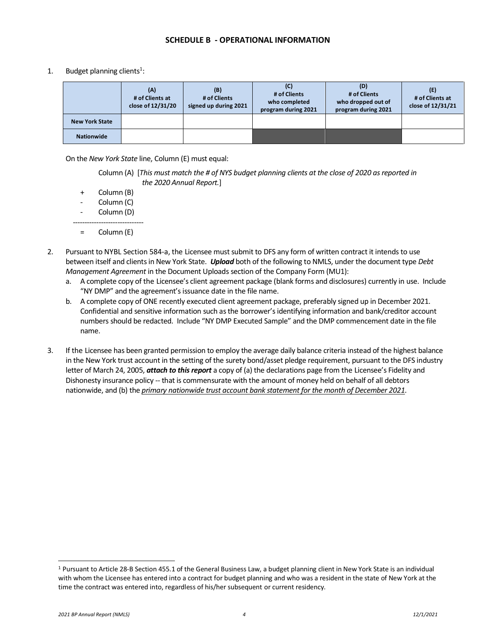#### **SCHEDULE B - OPERATIONAL INFORMATION**

1. Budget planning clients<sup>1</sup>:

|                       | (A)<br># of Clients at<br>close of 12/31/20 | (B)<br># of Clients<br>signed up during 2021 | (C)<br># of Clients<br>who completed<br>program during 2021 | (D)<br># of Clients<br>who dropped out of<br>program during 2021 | (E)<br># of Clients at<br>close of 12/31/21 |
|-----------------------|---------------------------------------------|----------------------------------------------|-------------------------------------------------------------|------------------------------------------------------------------|---------------------------------------------|
| <b>New York State</b> |                                             |                                              |                                                             |                                                                  |                                             |
| <b>Nationwide</b>     |                                             |                                              |                                                             |                                                                  |                                             |

On the *New York State* line, Column (E) must equal:

Column (A) [*This must match the # of NYS budget planning clients at the close of 2020 as reported in the 2020 Annual Report.*]

- + Column (B)
- Column (C)
- Column (D)
- ------------------------------ = Column (E)
- 2. Pursuant to NYBL Section 584-a, the Licensee must submit to DFS any form of written contract it intends to use between itself and clients in New York State. *Upload* both of the following to NMLS, under the document type *Debt Management Agreement* in the Document Uploads section of the Company Form (MU1):
	- a. A complete copy of the Licensee's client agreement package (blank forms and disclosures) currently in use. Include "NY DMP" and the agreement's issuance date in the file name.
	- b. A complete copy of ONE recently executed client agreement package, preferably signed up in December 2021. Confidential and sensitive information such as the borrower's identifying information and bank/creditor account numbers should be redacted. Include "NY DMP Executed Sample" and the DMP commencement date in the file name.
- 3. If the Licensee has been granted permission to employ the average daily balance criteria instead of the highest balance in the New York trust account in the setting of the surety bond/asset pledge requirement, pursuant to the DFS industry letter of March 24, 2005, *attach to this report* a copy of (a) the declarations page from the Licensee's Fidelity and Dishonesty insurance policy -- that is commensurate with the amount of money held on behalf of all debtors nationwide, and (b) the *primary nationwide trust account bank statement for the month of December 2021*.

<sup>1</sup> Pursuant to Article 28-B Section 455.1 of the General Business Law, a budget planning client in New York State is an individual with whom the Licensee has entered into a contract for budget planning and who was a resident in the state of New York at the time the contract was entered into, regardless of his/her subsequent or current residency.